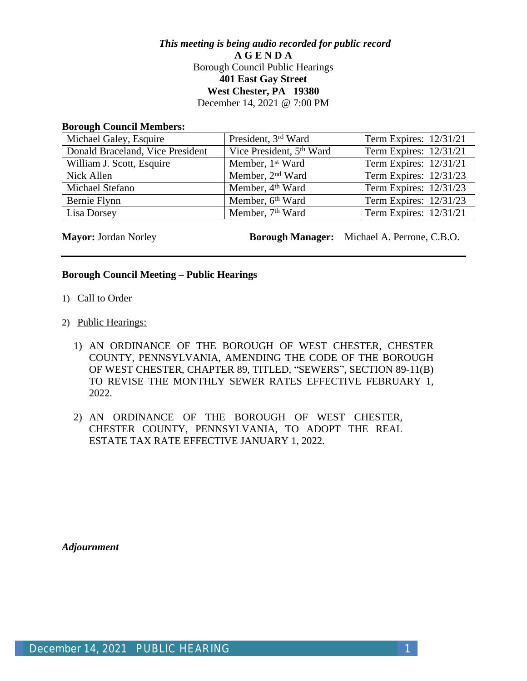# *This meeting is being audio recorded for public record* **A G E N D A** Borough Council Public Hearings **401 East Gay Street West Chester, PA 19380** December 14, 2021 @ 7:00 PM

#### **Borough Council Members:**

| Michael Galey, Esquire           | President, 3rd Ward                  | Term Expires: $12/31/21$ |
|----------------------------------|--------------------------------------|--------------------------|
| Donald Braceland, Vice President | Vice President, 5 <sup>th</sup> Ward | Term Expires: $12/31/21$ |
| William J. Scott, Esquire        | Member, 1 <sup>st</sup> Ward         | Term Expires: 12/31/21   |
| Nick Allen                       | Member, 2 <sup>nd</sup> Ward         | Term Expires: 12/31/23   |
| Michael Stefano                  | Member, 4 <sup>th</sup> Ward         | Term Expires: 12/31/23   |
| Bernie Flynn                     | Member, 6th Ward                     | Term Expires: 12/31/23   |
| Lisa Dorsey                      | Member, 7 <sup>th</sup> Ward         | Term Expires: 12/31/21   |

**Mayor:** Jordan Norley **Borough Manager:** Michael A. Perrone, C.B.O.

## **Borough Council Meeting – Public Hearings**

- 1) Call to Order
- 2) Public Hearings:
	- 1) AN ORDINANCE OF THE BOROUGH OF WEST CHESTER, CHESTER COUNTY, PENNSYLVANIA, AMENDING THE CODE OF THE BOROUGH OF WEST CHESTER, CHAPTER 89, TITLED, "SEWERS", SECTION 89-11(B) TO REVISE THE MONTHLY SEWER RATES EFFECTIVE FEBRUARY 1, 2022.
	- 2) AN ORDINANCE OF THE BOROUGH OF WEST CHESTER, CHESTER COUNTY, PENNSYLVANIA, TO ADOPT THE REAL ESTATE TAX RATE EFFECTIVE JANUARY 1, 2022.

*Adjournment*